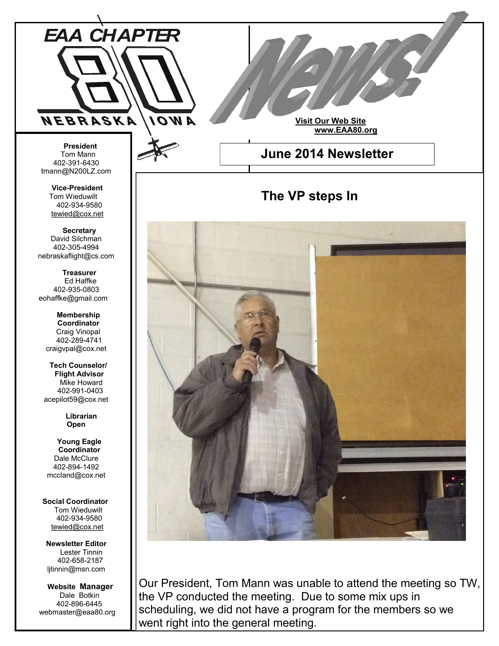

**Newsletter Editor** Lester Tinnin 402-658-2187 ljtinnin@msn.com

 **Website Manager** Dale Botkin 402-896-6445 webmaster@eaa80.org

Our President, Tom Mann was unable to attend the meeting so TW, the VP conducted the meeting. Due to some mix ups in scheduling, we did not have a program for the members so we went right into the general meeting.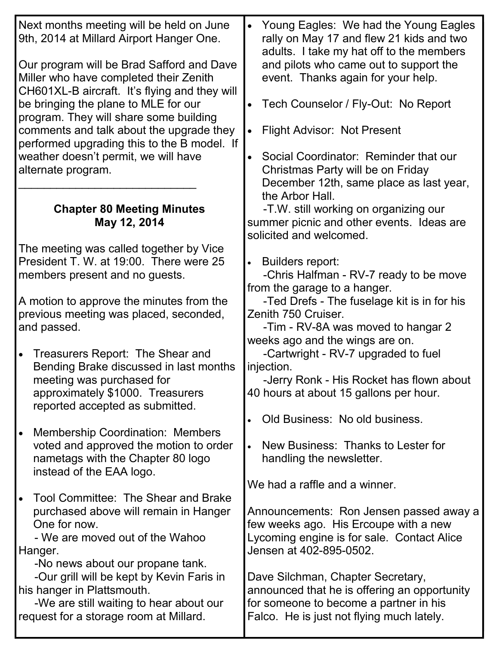| Next months meeting will be held on June<br>9th, 2014 at Millard Airport Hanger One.                                                 | Young Eagles: We had the Young Eagles<br>rally on May 17 and flew 21 kids and two<br>adults. I take my hat off to the members            |
|--------------------------------------------------------------------------------------------------------------------------------------|------------------------------------------------------------------------------------------------------------------------------------------|
| Our program will be Brad Safford and Dave<br>Miller who have completed their Zenith<br>CH601XL-B aircraft. It's flying and they will | and pilots who came out to support the<br>event. Thanks again for your help.                                                             |
| be bringing the plane to MLE for our<br>program. They will share some building                                                       | Tech Counselor / Fly-Out: No Report<br>$\bullet$                                                                                         |
| comments and talk about the upgrade they<br>performed upgrading this to the B model. If                                              | <b>Flight Advisor: Not Present</b>                                                                                                       |
| weather doesn't permit, we will have<br>alternate program.                                                                           | Social Coordinator: Reminder that our<br>Christmas Party will be on Friday<br>December 12th, same place as last year,<br>the Arbor Hall. |
| <b>Chapter 80 Meeting Minutes</b><br>May 12, 2014                                                                                    | -T.W. still working on organizing our<br>summer picnic and other events. Ideas are<br>solicited and welcomed.                            |
| The meeting was called together by Vice                                                                                              |                                                                                                                                          |
| President T. W. at 19:00. There were 25                                                                                              | <b>Builders report:</b><br>$\bullet$                                                                                                     |
| members present and no guests.                                                                                                       | -Chris Halfman - RV-7 ready to be move<br>from the garage to a hanger.                                                                   |
| A motion to approve the minutes from the                                                                                             | -Ted Drefs - The fuselage kit is in for his                                                                                              |
| previous meeting was placed, seconded,                                                                                               | Zenith 750 Cruiser.                                                                                                                      |
| and passed.                                                                                                                          | -Tim - RV-8A was moved to hangar 2                                                                                                       |
|                                                                                                                                      | weeks ago and the wings are on.                                                                                                          |
| Treasurers Report: The Shear and<br>Bending Brake discussed in last months                                                           | -Cartwright - RV-7 upgraded to fuel<br>injection.                                                                                        |
| meeting was purchased for                                                                                                            | -Jerry Ronk - His Rocket has flown about                                                                                                 |
| approximately \$1000. Treasurers<br>reported accepted as submitted.                                                                  | 40 hours at about 15 gallons per hour.                                                                                                   |
|                                                                                                                                      | Old Business: No old business.<br>$\bullet$                                                                                              |
| <b>Membership Coordination: Members</b><br>voted and approved the motion to order                                                    | New Business: Thanks to Lester for                                                                                                       |
| nametags with the Chapter 80 logo<br>instead of the EAA logo.                                                                        | handling the newsletter.                                                                                                                 |
|                                                                                                                                      | We had a raffle and a winner.                                                                                                            |
| Tool Committee: The Shear and Brake<br>purchased above will remain in Hanger<br>One for now.                                         | Announcements: Ron Jensen passed away a<br>few weeks ago. His Ercoupe with a new                                                         |
| - We are moved out of the Wahoo<br>Hanger.                                                                                           | Lycoming engine is for sale. Contact Alice<br>Jensen at 402-895-0502.                                                                    |
| -No news about our propane tank.                                                                                                     |                                                                                                                                          |
| -Our grill will be kept by Kevin Faris in<br>his hanger in Plattsmouth.                                                              | Dave Silchman, Chapter Secretary,<br>announced that he is offering an opportunity                                                        |
| -We are still waiting to hear about our<br>request for a storage room at Millard.                                                    | for someone to become a partner in his<br>Falco. He is just not flying much lately.                                                      |
|                                                                                                                                      |                                                                                                                                          |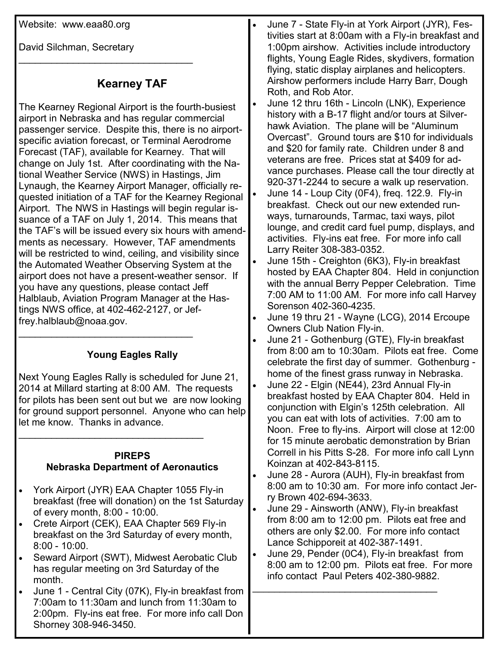Website: www.eaa80.org

David Silchman, Secretary

## **Kearney TAF**

 $\mathcal{L}=\{1,2,3,4,5\}$ 

The Kearney Regional Airport is the fourth-busiest airport in Nebraska and has regular commercial passenger service. Despite this, there is no airportspecific aviation forecast, or Terminal Aerodrome Forecast (TAF), available for Kearney. That will change on July 1st. After coordinating with the National Weather Service (NWS) in Hastings, Jim Lynaugh, the Kearney Airport Manager, officially requested initiation of a TAF for the Kearney Regional Airport. The NWS in Hastings will begin regular issuance of a TAF on July 1, 2014. This means that the TAF's will be issued every six hours with amendments as necessary. However, TAF amendments will be restricted to wind, ceiling, and visibility since the Automated Weather Observing System at the airport does not have a present-weather sensor. If you have any questions, please contact Jeff Halblaub, Aviation Program Manager at the Hastings NWS office, at 402-462-2127, or Jeffrey.halblaub@noaa.gov. \_\_\_\_\_\_\_\_\_\_\_\_\_\_\_\_\_\_\_\_\_\_\_\_\_\_\_\_\_\_\_\_

## **Young Eagles Rally**

Next Young Eagles Rally is scheduled for June 21, 2014 at Millard starting at 8:00 AM. The requests for pilots has been sent out but we are now looking for ground support personnel. Anyone who can help let me know. Thanks in advance.

## **PIREPS Nebraska Department of Aeronautics**

\_\_\_\_\_\_\_\_\_\_\_\_\_\_\_\_\_\_\_\_\_\_\_\_\_\_\_\_\_\_\_\_\_\_

- York Airport (JYR) EAA Chapter 1055 Fly-in breakfast (free will donation) on the 1st Saturday of every month, 8:00 - 10:00.
- Crete Airport (CEK), EAA Chapter 569 Fly-in breakfast on the 3rd Saturday of every month, 8:00 - 10:00.
- Seward Airport (SWT), Midwest Aerobatic Club has regular meeting on 3rd Saturday of the month.
- June 1 Central City (07K), Fly-in breakfast from 7:00am to 11:30am and lunch from 11:30am to 2:00pm. Fly-ins eat free. For more info call Don Shorney 308-946-3450.
- June 7 State Fly-in at York Airport (JYR), Festivities start at 8:00am with a Fly-in breakfast and 1:00pm airshow. Activities include introductory flights, Young Eagle Rides, skydivers, formation flying, static display airplanes and helicopters. Airshow performers include Harry Barr, Dough Roth, and Rob Ator.
- June 12 thru 16th Lincoln (LNK), Experience history with a B-17 flight and/or tours at Silverhawk Aviation. The plane will be "Aluminum Overcast". Ground tours are \$10 for individuals and \$20 for family rate. Children under 8 and veterans are free. Prices stat at \$409 for advance purchases. Please call the tour directly at 920-371-2244 to secure a walk up reservation.
- June 14 Loup City (0F4), freq. 122.9. Fly-in breakfast. Check out our new extended runways, turnarounds, Tarmac, taxi ways, pilot lounge, and credit card fuel pump, displays, and activities. Fly-ins eat free. For more info call Larry Reiter 308-383-0352.
- June 15th Creighton (6K3), Fly-in breakfast hosted by EAA Chapter 804. Held in conjunction with the annual Berry Pepper Celebration. Time 7:00 AM to 11:00 AM. For more info call Harvey Sorenson 402-360-4235.
- June 19 thru 21 Wayne (LCG), 2014 Ercoupe Owners Club Nation Fly-in.
- June 21 Gothenburg (GTE), Fly-in breakfast from 8:00 am to 10:30am. Pilots eat free. Come celebrate the first day of summer. Gothenburg home of the finest grass runway in Nebraska.
- June 22 Elgin (NE44), 23rd Annual Fly-in breakfast hosted by EAA Chapter 804. Held in conjunction with Elgin's 125th celebration. All you can eat with lots of activities. 7:00 am to Noon. Free to fly-ins. Airport will close at 12:00 for 15 minute aerobatic demonstration by Brian Correll in his Pitts S-28. For more info call Lynn Koinzan at 402-843-8115.
- June 28 Aurora (AUH), Fly-in breakfast from 8:00 am to 10:30 am. For more info contact Jerry Brown 402-694-3633.
- June 29 Ainsworth (ANW), Fly-in breakfast from 8:00 am to 12:00 pm. Pilots eat free and others are only \$2.00. For more info contact Lance Schipporeit at 402-387-1491.
- June 29, Pender (0C4), Fly-in breakfast from 8:00 am to 12:00 pm. Pilots eat free. For more info contact Paul Peters 402-380-9882.

\_\_\_\_\_\_\_\_\_\_\_\_\_\_\_\_\_\_\_\_\_\_\_\_\_\_\_\_\_\_\_\_\_\_